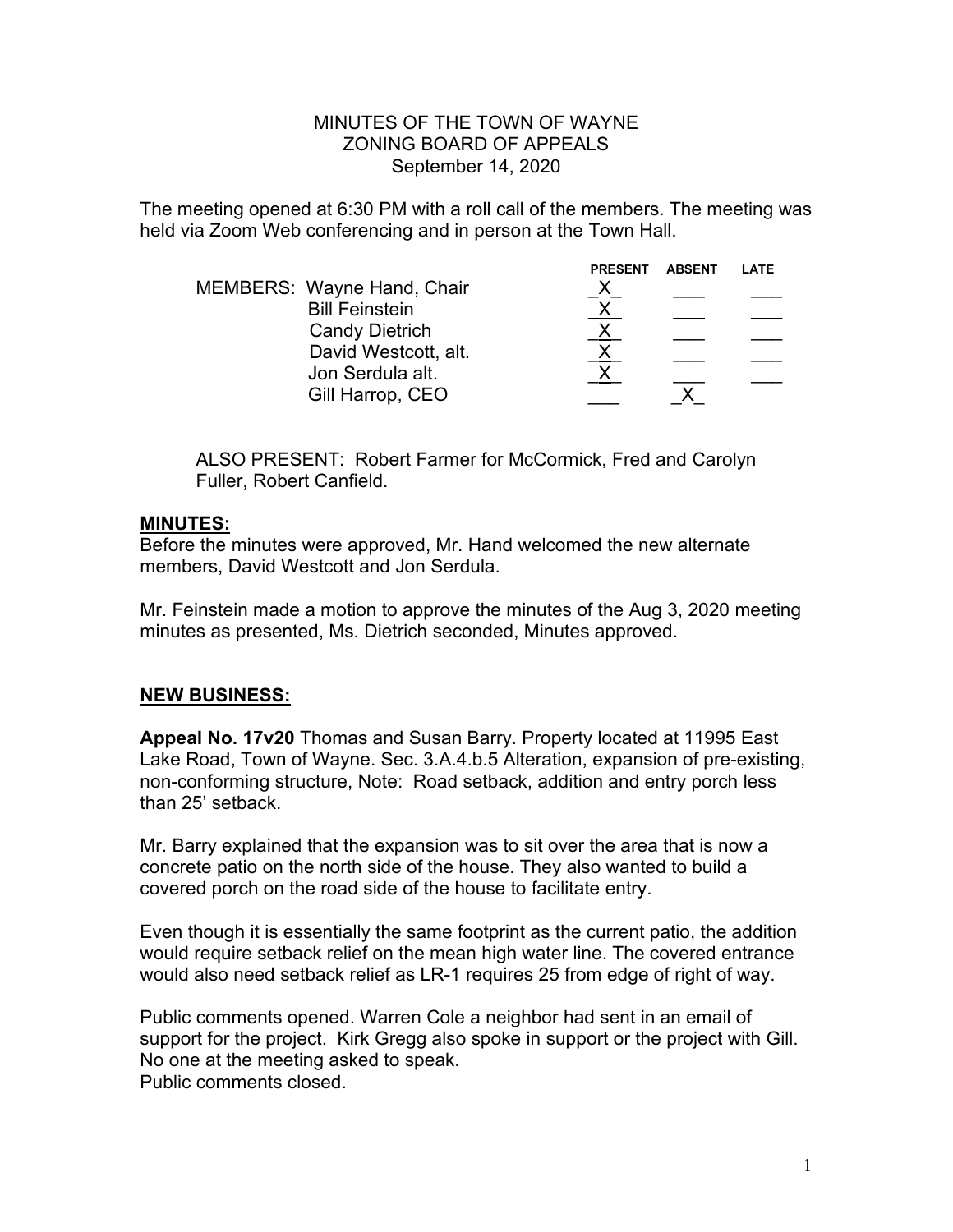#### MINUTES OF THE TOWN OF WAYNE ZONING BOARD OF APPEALS September 14, 2020

The meeting opened at 6:30 PM with a roll call of the members. The meeting was held via Zoom Web conferencing and in person at the Town Hall.

|                                   | <b>PRESENT</b> | <b>ABSENT</b> | LATE |
|-----------------------------------|----------------|---------------|------|
| <b>MEMBERS: Wayne Hand, Chair</b> |                |               |      |
| <b>Bill Feinstein</b>             |                |               |      |
| <b>Candy Dietrich</b>             |                |               |      |
| David Westcott, alt.              |                |               |      |
| Jon Serdula alt.                  |                |               |      |
| Gill Harrop, CEO                  |                |               |      |
|                                   |                |               |      |

ALSO PRESENT: Robert Farmer for McCormick, Fred and Carolyn Fuller, Robert Canfield.

## **MINUTES:**

Before the minutes were approved, Mr. Hand welcomed the new alternate members, David Westcott and Jon Serdula.

Mr. Feinstein made a motion to approve the minutes of the Aug 3, 2020 meeting minutes as presented, Ms. Dietrich seconded, Minutes approved.

# **NEW BUSINESS:**

**Appeal No. 17v20** Thomas and Susan Barry. Property located at 11995 East Lake Road, Town of Wayne. Sec. 3.A.4.b.5 Alteration, expansion of pre-existing, non-conforming structure, Note: Road setback, addition and entry porch less than 25' setback.

Mr. Barry explained that the expansion was to sit over the area that is now a concrete patio on the north side of the house. They also wanted to build a covered porch on the road side of the house to facilitate entry.

Even though it is essentially the same footprint as the current patio, the addition would require setback relief on the mean high water line. The covered entrance would also need setback relief as LR-1 requires 25 from edge of right of way.

Public comments opened. Warren Cole a neighbor had sent in an email of support for the project. Kirk Gregg also spoke in support or the project with Gill. No one at the meeting asked to speak. Public comments closed.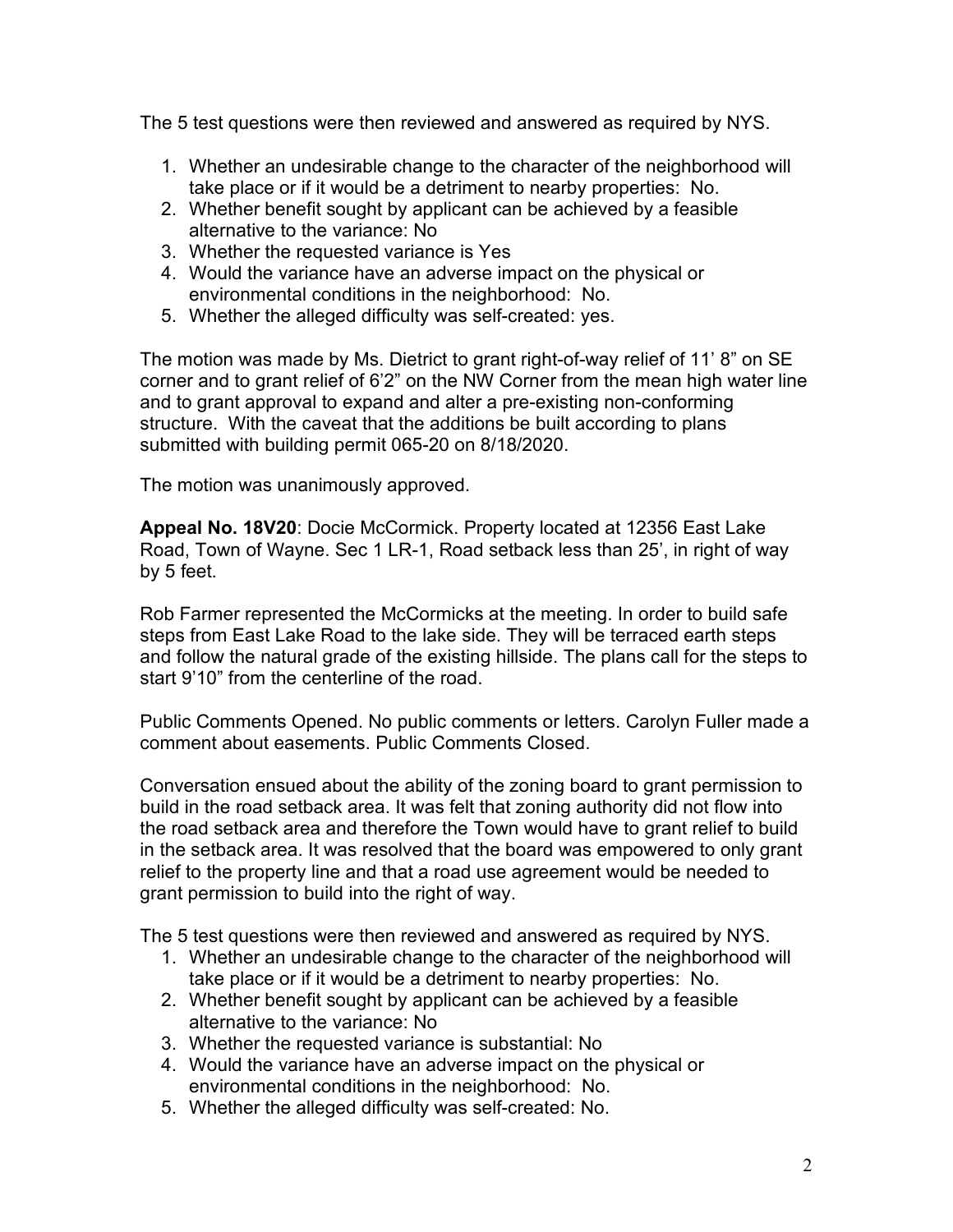The 5 test questions were then reviewed and answered as required by NYS.

- 1. Whether an undesirable change to the character of the neighborhood will take place or if it would be a detriment to nearby properties: No.
- 2. Whether benefit sought by applicant can be achieved by a feasible alternative to the variance: No
- 3. Whether the requested variance is Yes
- 4. Would the variance have an adverse impact on the physical or environmental conditions in the neighborhood: No.
- 5. Whether the alleged difficulty was self-created: yes.

The motion was made by Ms. Dietrict to grant right-of-way relief of 11' 8" on SE corner and to grant relief of 6'2" on the NW Corner from the mean high water line and to grant approval to expand and alter a pre-existing non-conforming structure. With the caveat that the additions be built according to plans submitted with building permit 065-20 on 8/18/2020.

The motion was unanimously approved.

**Appeal No. 18V20**: Docie McCormick. Property located at 12356 East Lake Road, Town of Wayne. Sec 1 LR-1, Road setback less than 25', in right of way by 5 feet.

Rob Farmer represented the McCormicks at the meeting. In order to build safe steps from East Lake Road to the lake side. They will be terraced earth steps and follow the natural grade of the existing hillside. The plans call for the steps to start 9'10" from the centerline of the road.

Public Comments Opened. No public comments or letters. Carolyn Fuller made a comment about easements. Public Comments Closed.

Conversation ensued about the ability of the zoning board to grant permission to build in the road setback area. It was felt that zoning authority did not flow into the road setback area and therefore the Town would have to grant relief to build in the setback area. It was resolved that the board was empowered to only grant relief to the property line and that a road use agreement would be needed to grant permission to build into the right of way.

The 5 test questions were then reviewed and answered as required by NYS.

- 1. Whether an undesirable change to the character of the neighborhood will take place or if it would be a detriment to nearby properties: No.
- 2. Whether benefit sought by applicant can be achieved by a feasible alternative to the variance: No
- 3. Whether the requested variance is substantial: No
- 4. Would the variance have an adverse impact on the physical or environmental conditions in the neighborhood: No.
- 5. Whether the alleged difficulty was self-created: No.